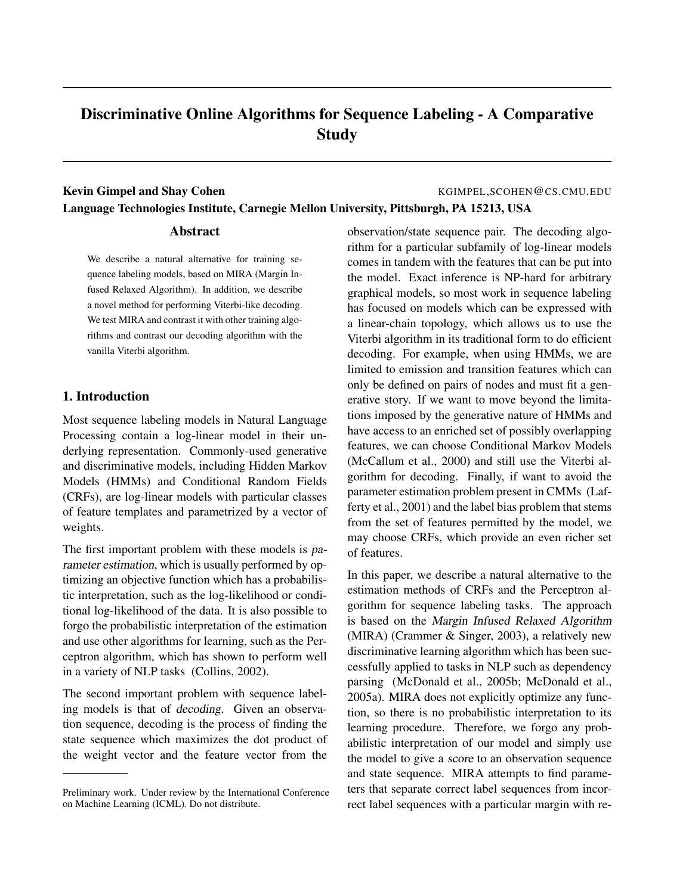# Discriminative Online Algorithms for Sequence Labeling - A Comparative Study

# Kevin Gimpel and Shay Cohen The Collection of the Collection of the KGIMPEL, SCOHEN @CS.CMU.EDU Language Technologies Institute, Carnegie Mellon University, Pittsburgh, PA 15213, USA

## Abstract

We describe a natural alternative for training sequence labeling models, based on MIRA (Margin Infused Relaxed Algorithm). In addition, we describe a novel method for performing Viterbi-like decoding. We test MIRA and contrast it with other training algorithms and contrast our decoding algorithm with the vanilla Viterbi algorithm.

## 1. Introduction

Most sequence labeling models in Natural Language Processing contain a log-linear model in their underlying representation. Commonly-used generative and discriminative models, including Hidden Markov Models (HMMs) and Conditional Random Fields (CRFs), are log-linear models with particular classes of feature templates and parametrized by a vector of weights.

The first important problem with these models is parameter estimation, which is usually performed by optimizing an objective function which has a probabilistic interpretation, such as the log-likelihood or conditional log-likelihood of the data. It is also possible to forgo the probabilistic interpretation of the estimation and use other algorithms for learning, such as the Perceptron algorithm, which has shown to perform well in a variety of NLP tasks (Collins, 2002).

The second important problem with sequence labeling models is that of decoding. Given an observation sequence, decoding is the process of finding the state sequence which maximizes the dot product of the weight vector and the feature vector from the

observation/state sequence pair. The decoding algorithm for a particular subfamily of log-linear models comes in tandem with the features that can be put into the model. Exact inference is NP-hard for arbitrary graphical models, so most work in sequence labeling has focused on models which can be expressed with a linear-chain topology, which allows us to use the Viterbi algorithm in its traditional form to do efficient decoding. For example, when using HMMs, we are limited to emission and transition features which can only be defined on pairs of nodes and must fit a generative story. If we want to move beyond the limitations imposed by the generative nature of HMMs and have access to an enriched set of possibly overlapping features, we can choose Conditional Markov Models (McCallum et al., 2000) and still use the Viterbi algorithm for decoding. Finally, if want to avoid the parameter estimation problem present in CMMs (Lafferty et al., 2001) and the label bias problem that stems from the set of features permitted by the model, we may choose CRFs, which provide an even richer set of features.

In this paper, we describe a natural alternative to the estimation methods of CRFs and the Perceptron algorithm for sequence labeling tasks. The approach is based on the Margin Infused Relaxed Algorithm (MIRA) (Crammer & Singer, 2003), a relatively new discriminative learning algorithm which has been successfully applied to tasks in NLP such as dependency parsing (McDonald et al., 2005b; McDonald et al., 2005a). MIRA does not explicitly optimize any function, so there is no probabilistic interpretation to its learning procedure. Therefore, we forgo any probabilistic interpretation of our model and simply use the model to give a score to an observation sequence and state sequence. MIRA attempts to find parameters that separate correct label sequences from incorrect label sequences with a particular margin with re-

Preliminary work. Under review by the International Conference on Machine Learning (ICML). Do not distribute.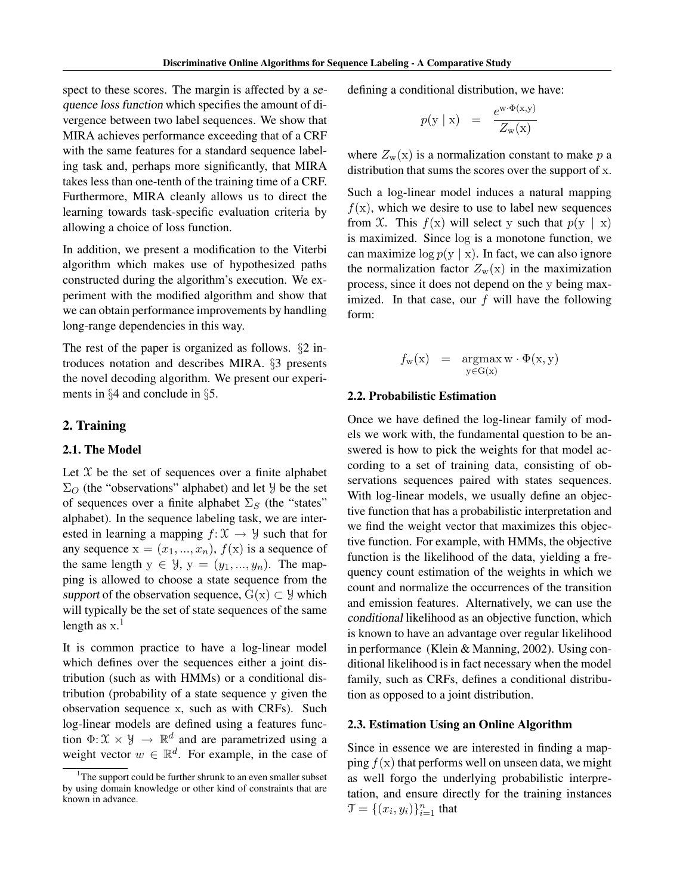spect to these scores. The margin is affected by a sequence loss function which specifies the amount of divergence between two label sequences. We show that MIRA achieves performance exceeding that of a CRF with the same features for a standard sequence labeling task and, perhaps more significantly, that MIRA takes less than one-tenth of the training time of a CRF. Furthermore, MIRA cleanly allows us to direct the learning towards task-specific evaluation criteria by allowing a choice of loss function.

In addition, we present a modification to the Viterbi algorithm which makes use of hypothesized paths constructed during the algorithm's execution. We experiment with the modified algorithm and show that we can obtain performance improvements by handling long-range dependencies in this way.

The rest of the paper is organized as follows. §2 introduces notation and describes MIRA. §3 presents the novel decoding algorithm. We present our experiments in §4 and conclude in §5.

#### 2. Training

## 2.1. The Model

Let  $X$  be the set of sequences over a finite alphabet  $\Sigma_O$  (the "observations" alphabet) and let *y* be the set of sequences over a finite alphabet  $\Sigma_S$  (the "states" alphabet). In the sequence labeling task, we are interested in learning a mapping  $f: \mathcal{X} \to \mathcal{Y}$  such that for any sequence  $x = (x_1, ..., x_n)$ ,  $f(x)$  is a sequence of the same length  $y \in \mathcal{Y}$ ,  $y = (y_1, ..., y_n)$ . The mapping is allowed to choose a state sequence from the support of the observation sequence,  $G(x) \subset \mathcal{Y}$  which will typically be the set of state sequences of the same length as  $x.<sup>1</sup>$ 

It is common practice to have a log-linear model which defines over the sequences either a joint distribution (such as with HMMs) or a conditional distribution (probability of a state sequence y given the observation sequence x, such as with CRFs). Such log-linear models are defined using a features function  $\Phi \colon \mathfrak{X} \times \mathcal{Y} \to \mathbb{R}^d$  and are parametrized using a weight vector  $w \in \mathbb{R}^d$ . For example, in the case of

defining a conditional distribution, we have:

$$
p(y \mid x) = \frac{e^{w \cdot \Phi(x, y)}}{Z_w(x)}
$$

where  $Z_w(x)$  is a normalization constant to make p a distribution that sums the scores over the support of x.

Such a log-linear model induces a natural mapping  $f(x)$ , which we desire to use to label new sequences from X. This  $f(x)$  will select y such that  $p(y | x)$ is maximized. Since log is a monotone function, we can maximize  $\log p(y | x)$ . In fact, we can also ignore the normalization factor  $Z_w(x)$  in the maximization process, since it does not depend on the y being maximized. In that case, our  $f$  will have the following form:

$$
f_{\mathbf{w}}(\mathbf{x}) = \operatorname*{argmax}_{\mathbf{y} \in \mathbf{G}(\mathbf{x})} \mathbf{w} \cdot \Phi(\mathbf{x}, \mathbf{y})
$$

#### 2.2. Probabilistic Estimation

Once we have defined the log-linear family of models we work with, the fundamental question to be answered is how to pick the weights for that model according to a set of training data, consisting of observations sequences paired with states sequences. With log-linear models, we usually define an objective function that has a probabilistic interpretation and we find the weight vector that maximizes this objective function. For example, with HMMs, the objective function is the likelihood of the data, yielding a frequency count estimation of the weights in which we count and normalize the occurrences of the transition and emission features. Alternatively, we can use the conditional likelihood as an objective function, which is known to have an advantage over regular likelihood in performance (Klein & Manning, 2002). Using conditional likelihood is in fact necessary when the model family, such as CRFs, defines a conditional distribution as opposed to a joint distribution.

#### 2.3. Estimation Using an Online Algorithm

Since in essence we are interested in finding a mapping  $f(x)$  that performs well on unseen data, we might as well forgo the underlying probabilistic interpretation, and ensure directly for the training instances  $\mathfrak{T} = \{(x_i, y_i)\}_{i=1}^n$  that

<sup>&</sup>lt;sup>1</sup>The support could be further shrunk to an even smaller subset by using domain knowledge or other kind of constraints that are known in advance.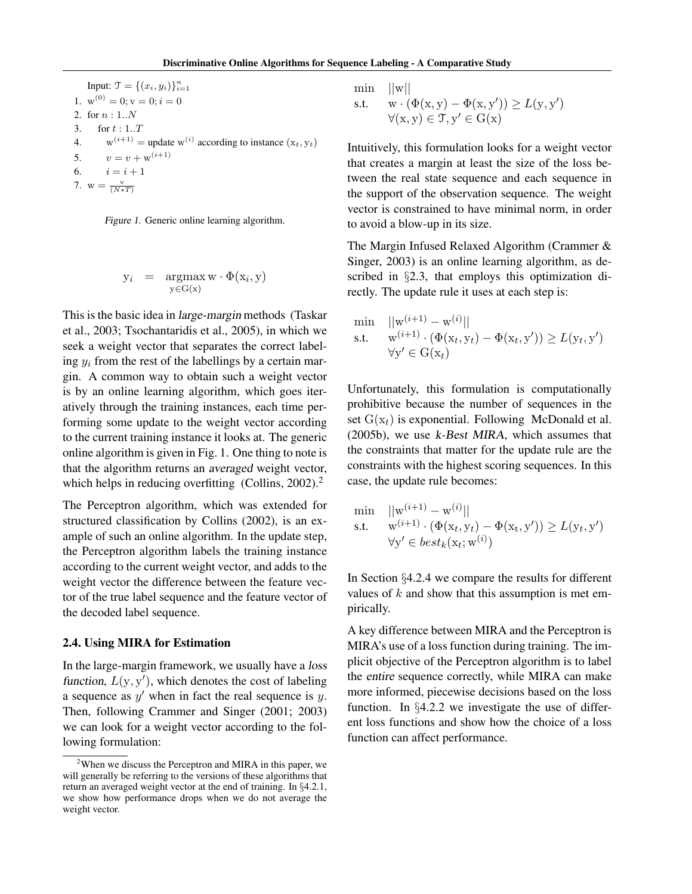Input:  $\mathfrak{T} = \{(x_i, y_i)\}_{i=1}^n$ 1.  $w^{(0)} = 0; v = 0; i = 0$ 2. for  $n: 1..N$ 3. for  $t : 1..T$ 4.  $w^{(i+1)}$  = update  $w^{(i)}$  according to instance  $(x_t, y_t)$ 5.  $v = v + w^{(i+1)}$ 6.  $i = i + 1$ 7.  $w = \frac{v}{(N*T)}$ 



$$
y_i = \operatorname*{argmax}_{y \in G(x)} w \cdot \Phi(x_i, y)
$$

This is the basic idea in large-margin methods (Taskar et al., 2003; Tsochantaridis et al., 2005), in which we seek a weight vector that separates the correct labeling  $y_i$  from the rest of the labellings by a certain margin. A common way to obtain such a weight vector is by an online learning algorithm, which goes iteratively through the training instances, each time performing some update to the weight vector according to the current training instance it looks at. The generic online algorithm is given in Fig. 1. One thing to note is that the algorithm returns an averaged weight vector, which helps in reducing overfitting (Collins,  $2002$ ).<sup>2</sup>

The Perceptron algorithm, which was extended for structured classification by Collins (2002), is an example of such an online algorithm. In the update step, the Perceptron algorithm labels the training instance according to the current weight vector, and adds to the weight vector the difference between the feature vector of the true label sequence and the feature vector of the decoded label sequence.

#### 2.4. Using MIRA for Estimation

In the large-margin framework, we usually have a loss function,  $L(y, y')$ , which denotes the cost of labeling a sequence as  $y'$  when in fact the real sequence is  $y$ . Then, following Crammer and Singer (2001; 2003) we can look for a weight vector according to the following formulation:

 $\min$   $||w||$ 

s.t. 
$$
w \cdot (\Phi(x, y) - \Phi(x, y')) \ge L(y, y')
$$

$$
\forall (x, y) \in \mathcal{T}, y' \in G(x)
$$

Intuitively, this formulation looks for a weight vector that creates a margin at least the size of the loss between the real state sequence and each sequence in the support of the observation sequence. The weight vector is constrained to have minimal norm, in order to avoid a blow-up in its size.

The Margin Infused Relaxed Algorithm (Crammer & Singer, 2003) is an online learning algorithm, as described in §2.3, that employs this optimization directly. The update rule it uses at each step is:

$$
\begin{array}{ll}\n\min & ||\mathbf{w}^{(i+1)} - \mathbf{w}^{(i)}|| \\
\text{s.t.} & \mathbf{w}^{(i+1)} \cdot (\Phi(\mathbf{x}_t, \mathbf{y}_t) - \Phi(\mathbf{x}_t, \mathbf{y}')) \ge L(\mathbf{y}_t, \mathbf{y}') \\
& \forall \mathbf{y}' \in \mathbf{G}(\mathbf{x}_t)\n\end{array}
$$

Unfortunately, this formulation is computationally prohibitive because the number of sequences in the set  $G(x_t)$  is exponential. Following McDonald et al. (2005b), we use k-Best MIRA, which assumes that the constraints that matter for the update rule are the constraints with the highest scoring sequences. In this case, the update rule becomes:

$$
\begin{array}{ll}\n\min & ||\mathbf{w}^{(i+1)} - \mathbf{w}^{(i)}|| \\
\text{s.t.} & \mathbf{w}^{(i+1)} \cdot (\Phi(\mathbf{x}_t, \mathbf{y}_t) - \Phi(\mathbf{x}_t, \mathbf{y}')) \ge L(\mathbf{y}_t, \mathbf{y}') \\
& \forall \mathbf{y}' \in best_k(\mathbf{x}_t; \mathbf{w}^{(i)})\n\end{array}
$$

In Section §4.2.4 we compare the results for different values of  $k$  and show that this assumption is met empirically.

A key difference between MIRA and the Perceptron is MIRA's use of a loss function during training. The implicit objective of the Perceptron algorithm is to label the entire sequence correctly, while MIRA can make more informed, piecewise decisions based on the loss function. In §4.2.2 we investigate the use of different loss functions and show how the choice of a loss function can affect performance.

<sup>&</sup>lt;sup>2</sup>When we discuss the Perceptron and MIRA in this paper, we will generally be referring to the versions of these algorithms that return an averaged weight vector at the end of training. In §4.2.1, we show how performance drops when we do not average the weight vector.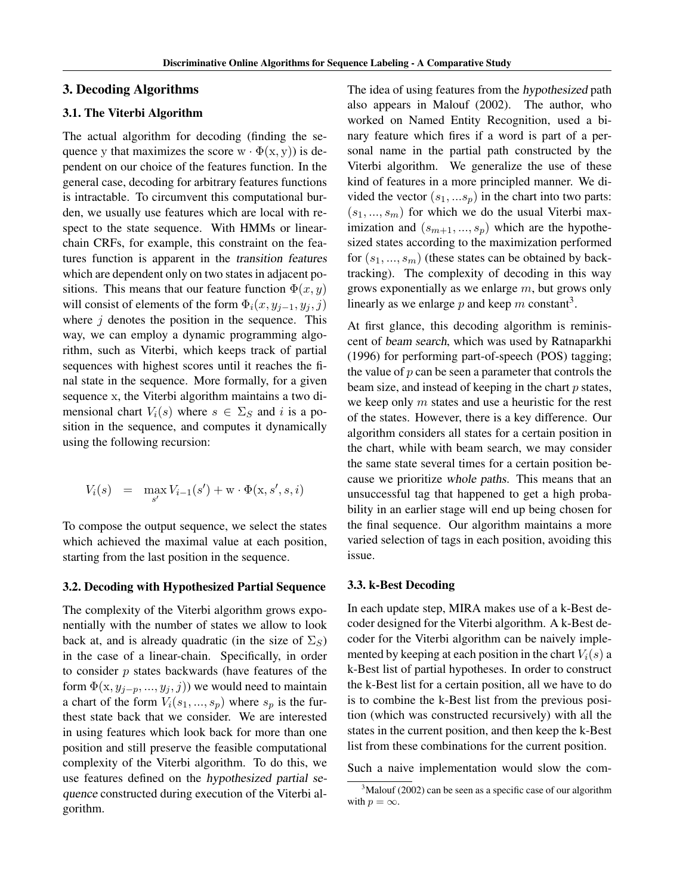#### 3. Decoding Algorithms

## 3.1. The Viterbi Algorithm

The actual algorithm for decoding (finding the sequence y that maximizes the score  $w \cdot \Phi(x, y)$  is dependent on our choice of the features function. In the general case, decoding for arbitrary features functions is intractable. To circumvent this computational burden, we usually use features which are local with respect to the state sequence. With HMMs or linearchain CRFs, for example, this constraint on the features function is apparent in the transition features which are dependent only on two states in adjacent positions. This means that our feature function  $\Phi(x, y)$ will consist of elements of the form  $\Phi_i(x, y_{i-1}, y_i, j)$ where  $j$  denotes the position in the sequence. This way, we can employ a dynamic programming algorithm, such as Viterbi, which keeps track of partial sequences with highest scores until it reaches the final state in the sequence. More formally, for a given sequence x, the Viterbi algorithm maintains a two dimensional chart  $V_i(s)$  where  $s \in \Sigma_S$  and i is a position in the sequence, and computes it dynamically using the following recursion:

$$
V_i(s) = \max_{s'} V_{i-1}(s') + \mathbf{w} \cdot \Phi(\mathbf{x}, s', s, i)
$$

To compose the output sequence, we select the states which achieved the maximal value at each position, starting from the last position in the sequence.

#### 3.2. Decoding with Hypothesized Partial Sequence

The complexity of the Viterbi algorithm grows exponentially with the number of states we allow to look back at, and is already quadratic (in the size of  $\Sigma_S$ ) in the case of a linear-chain. Specifically, in order to consider  $p$  states backwards (have features of the form  $\Phi(x, y_{j-p}, ..., y_j, j)$  we would need to maintain a chart of the form  $V_i(s_1, ..., s_p)$  where  $s_p$  is the furthest state back that we consider. We are interested in using features which look back for more than one position and still preserve the feasible computational complexity of the Viterbi algorithm. To do this, we use features defined on the hypothesized partial sequence constructed during execution of the Viterbi algorithm.

The idea of using features from the hypothesized path also appears in Malouf (2002). The author, who worked on Named Entity Recognition, used a binary feature which fires if a word is part of a personal name in the partial path constructed by the Viterbi algorithm. We generalize the use of these kind of features in a more principled manner. We divided the vector  $(s_1, \ldots s_p)$  in the chart into two parts:  $(s_1, ..., s_m)$  for which we do the usual Viterbi maximization and  $(s_{m+1},...,s_p)$  which are the hypothesized states according to the maximization performed for  $(s_1, ..., s_m)$  (these states can be obtained by backtracking). The complexity of decoding in this way grows exponentially as we enlarge  $m$ , but grows only linearly as we enlarge  $p$  and keep  $m$  constant<sup>3</sup>.

At first glance, this decoding algorithm is reminiscent of beam search, which was used by Ratnaparkhi (1996) for performing part-of-speech (POS) tagging; the value of  $p$  can be seen a parameter that controls the beam size, and instead of keeping in the chart  $p$  states, we keep only  $m$  states and use a heuristic for the rest of the states. However, there is a key difference. Our algorithm considers all states for a certain position in the chart, while with beam search, we may consider the same state several times for a certain position because we prioritize whole paths. This means that an unsuccessful tag that happened to get a high probability in an earlier stage will end up being chosen for the final sequence. Our algorithm maintains a more varied selection of tags in each position, avoiding this issue.

#### 3.3. k-Best Decoding

In each update step, MIRA makes use of a k-Best decoder designed for the Viterbi algorithm. A k-Best decoder for the Viterbi algorithm can be naively implemented by keeping at each position in the chart  $V_i(s)$  a k-Best list of partial hypotheses. In order to construct the k-Best list for a certain position, all we have to do is to combine the k-Best list from the previous position (which was constructed recursively) with all the states in the current position, and then keep the k-Best list from these combinations for the current position.

Such a naive implementation would slow the com-

 $3$ Malouf (2002) can be seen as a specific case of our algorithm with  $p = \infty$ .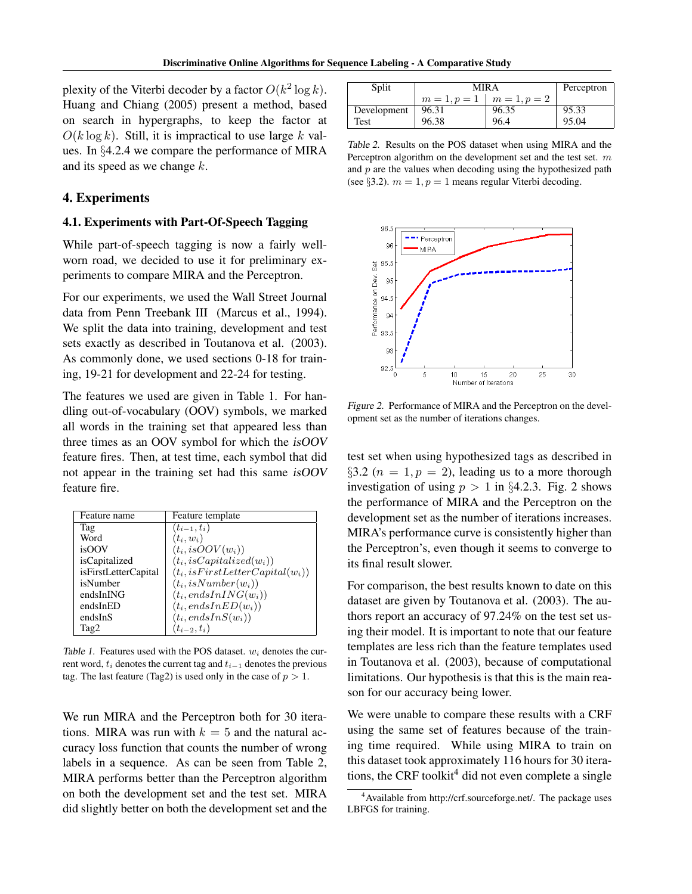plexity of the Viterbi decoder by a factor  $O(k^2 \log k)$ . Huang and Chiang (2005) present a method, based on search in hypergraphs, to keep the factor at  $O(k \log k)$ . Still, it is impractical to use large k values. In §4.2.4 we compare the performance of MIRA and its speed as we change k.

# 4. Experiments

## 4.1. Experiments with Part-Of-Speech Tagging

While part-of-speech tagging is now a fairly wellworn road, we decided to use it for preliminary experiments to compare MIRA and the Perceptron.

For our experiments, we used the Wall Street Journal data from Penn Treebank III (Marcus et al., 1994). We split the data into training, development and test sets exactly as described in Toutanova et al. (2003). As commonly done, we used sections 0-18 for training, 19-21 for development and 22-24 for testing.

The features we used are given in Table 1. For handling out-of-vocabulary (OOV) symbols, we marked all words in the training set that appeared less than three times as an OOV symbol for which the isOOV feature fires. Then, at test time, each symbol that did not appear in the training set had this same isOOV feature fire.

| Feature name         | Feature template                     |
|----------------------|--------------------------------------|
| Tag                  | $(t_{i-1}, t_i)$                     |
| Word                 | $(t_i, w_i)$                         |
| isOOV                | $(t_i, isOOV(w_i))$                  |
| isCapitalized        | $(t_i, isCapitalized(w_i))$          |
| isFirstLetterCapital | $(t_i, is First LetterCapital(w_i))$ |
| isNumber             | $(t_i, isNumber(w_i))$               |
| endsInING            | $(t_i, endsInING(w_i))$              |
| endsInED             | $(t_i, endsInED(w_i))$               |
| endsInS              | $(t_i, endsInS(w_i))$                |
| Tag2                 | $(t_{i-2}, t_i)$                     |

Table 1. Features used with the POS dataset.  $w_i$  denotes the current word,  $t_i$  denotes the current tag and  $t_{i-1}$  denotes the previous tag. The last feature (Tag2) is used only in the case of  $p > 1$ .

We run MIRA and the Perceptron both for 30 iterations. MIRA was run with  $k = 5$  and the natural accuracy loss function that counts the number of wrong labels in a sequence. As can be seen from Table 2, MIRA performs better than the Perceptron algorithm on both the development set and the test set. MIRA did slightly better on both the development set and the

| Split       | MIR A | Perceptron               |       |
|-------------|-------|--------------------------|-------|
|             |       | $m=1, p=1 \mid m=1, p=2$ |       |
| Development | 96.31 | 96.35                    | 95.33 |
| Test        | 96.38 | 96.4                     | 95.04 |

Table 2. Results on the POS dataset when using MIRA and the Perceptron algorithm on the development set and the test set. m and  $p$  are the values when decoding using the hypothesized path (see §3.2).  $m = 1$ ,  $p = 1$  means regular Viterbi decoding.



Figure 2. Performance of MIRA and the Perceptron on the development set as the number of iterations changes.

test set when using hypothesized tags as described in §3.2 ( $n = 1, p = 2$ ), leading us to a more thorough investigation of using  $p > 1$  in §4.2.3. Fig. 2 shows the performance of MIRA and the Perceptron on the development set as the number of iterations increases. MIRA's performance curve is consistently higher than the Perceptron's, even though it seems to converge to its final result slower.

For comparison, the best results known to date on this dataset are given by Toutanova et al. (2003). The authors report an accuracy of 97.24% on the test set using their model. It is important to note that our feature templates are less rich than the feature templates used in Toutanova et al. (2003), because of computational limitations. Our hypothesis is that this is the main reason for our accuracy being lower.

We were unable to compare these results with a CRF using the same set of features because of the training time required. While using MIRA to train on this dataset took approximately 116 hours for 30 iterations, the CRF toolkit<sup>4</sup> did not even complete a single

<sup>&</sup>lt;sup>4</sup>Available from http://crf.sourceforge.net/. The package uses LBFGS for training.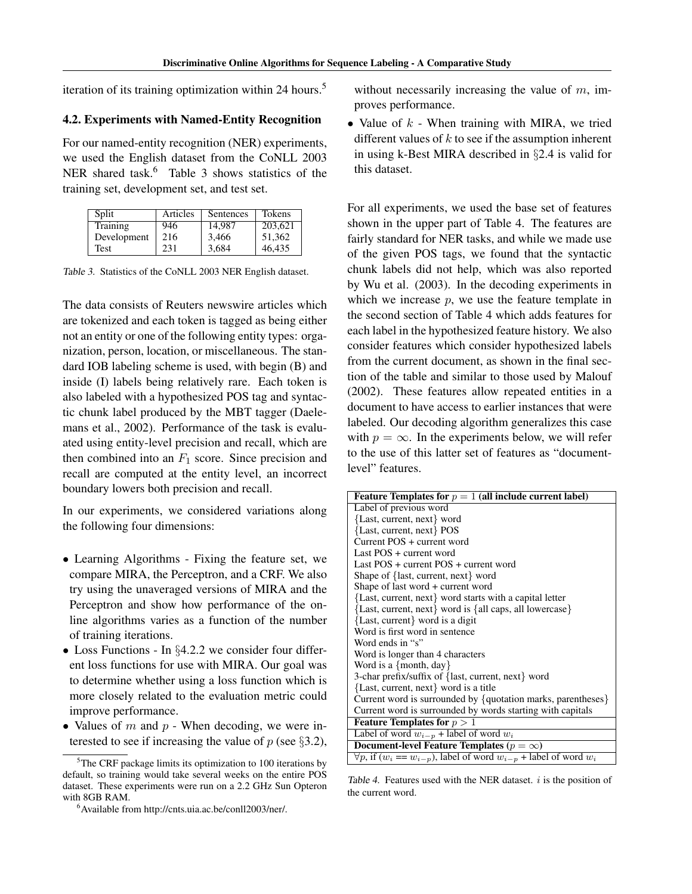iteration of its training optimization within 24 hours.<sup>5</sup>

## 4.2. Experiments with Named-Entity Recognition

For our named-entity recognition (NER) experiments, we used the English dataset from the CoNLL 2003 NER shared task.<sup>6</sup> Table 3 shows statistics of the training set, development set, and test set.

| Split       | Articles | Sentences | Tokens  |
|-------------|----------|-----------|---------|
| Training    | 946      | 14,987    | 203,621 |
| Development | 216      | 3,466     | 51,362  |
| Test        | 231      | 3,684     | 46,435  |

Table 3. Statistics of the CoNLL 2003 NER English dataset.

The data consists of Reuters newswire articles which are tokenized and each token is tagged as being either not an entity or one of the following entity types: organization, person, location, or miscellaneous. The standard IOB labeling scheme is used, with begin (B) and inside (I) labels being relatively rare. Each token is also labeled with a hypothesized POS tag and syntactic chunk label produced by the MBT tagger (Daelemans et al., 2002). Performance of the task is evaluated using entity-level precision and recall, which are then combined into an  $F_1$  score. Since precision and recall are computed at the entity level, an incorrect boundary lowers both precision and recall.

In our experiments, we considered variations along the following four dimensions:

- Learning Algorithms Fixing the feature set, we compare MIRA, the Perceptron, and a CRF. We also try using the unaveraged versions of MIRA and the Perceptron and show how performance of the online algorithms varies as a function of the number of training iterations.
- Loss Functions In §4.2.2 we consider four different loss functions for use with MIRA. Our goal was to determine whether using a loss function which is more closely related to the evaluation metric could improve performance.
- Values of  $m$  and  $p$  When decoding, we were interested to see if increasing the value of  $p$  (see §3.2),

without necessarily increasing the value of  $m$ , improves performance.

• Value of  $k$  - When training with MIRA, we tried different values of  $k$  to see if the assumption inherent in using k-Best MIRA described in §2.4 is valid for this dataset.

For all experiments, we used the base set of features shown in the upper part of Table 4. The features are fairly standard for NER tasks, and while we made use of the given POS tags, we found that the syntactic chunk labels did not help, which was also reported by Wu et al. (2003). In the decoding experiments in which we increase  $p$ , we use the feature template in the second section of Table 4 which adds features for each label in the hypothesized feature history. We also consider features which consider hypothesized labels from the current document, as shown in the final section of the table and similar to those used by Malouf (2002). These features allow repeated entities in a document to have access to earlier instances that were labeled. Our decoding algorithm generalizes this case with  $p = \infty$ . In the experiments below, we will refer to the use of this latter set of features as "documentlevel" features.

| Feature Templates for $p = 1$ (all include current label)                           |
|-------------------------------------------------------------------------------------|
| Label of previous word                                                              |
| {Last, current, next} word                                                          |
| {Last, current, next} POS                                                           |
| Current POS + current word                                                          |
| Last POS + current word                                                             |
| Last $POS + current POS + current word$                                             |
| Shape of {last, current, next} word                                                 |
| Shape of last word + current word                                                   |
| {Last, current, next} word starts with a capital letter                             |
| {Last, current, next} word is {all caps, all lowercase}                             |
| {Last, current} word is a digit                                                     |
| Word is first word in sentence                                                      |
| Word ends in "s"                                                                    |
| Word is longer than 4 characters                                                    |
| Word is a $\{$ month, day $\}$                                                      |
| 3-char prefix/suffix of {last, current, next} word                                  |
| {Last, current, next} word is a title                                               |
| Current word is surrounded by $\{$ quotation marks, parentheses $\}$                |
| Current word is surrounded by words starting with capitals                          |
| <b>Feature Templates for</b> $p > 1$                                                |
| Label of word $w_{i-p}$ + label of word $w_i$                                       |
| Document-level Feature Templates ( $p = \infty$ )                                   |
| $\forall p$ , if $(w_i == w_{i-p})$ , label of word $w_{i-p}$ + label of word $w_i$ |

Table 4. Features used with the NER dataset.  $i$  is the position of the current word.

 $5$ The CRF package limits its optimization to 100 iterations by default, so training would take several weeks on the entire POS dataset. These experiments were run on a 2.2 GHz Sun Opteron with 8GB RAM.

<sup>6</sup>Available from http://cnts.uia.ac.be/conll2003/ner/.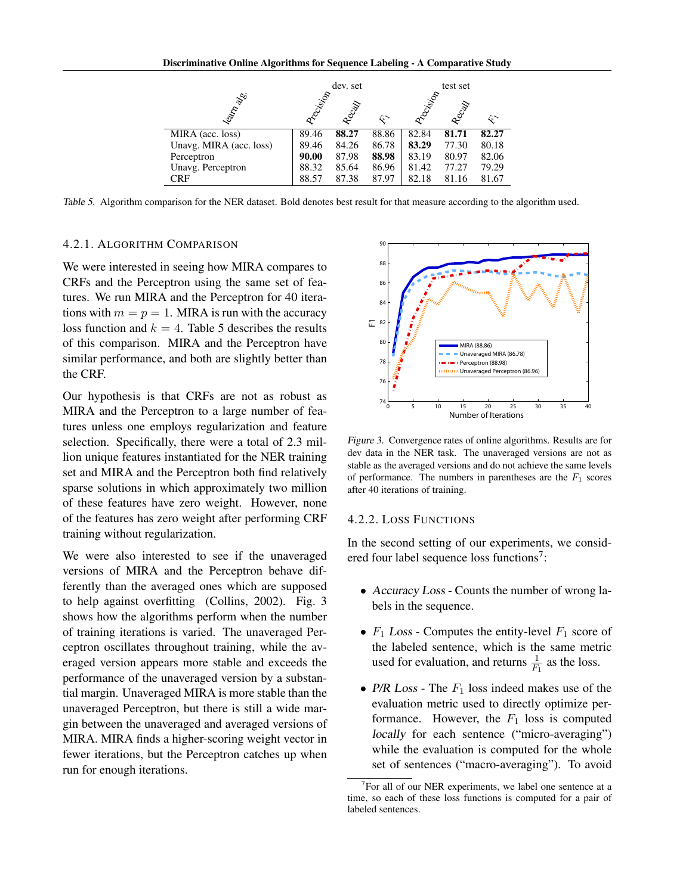|                         |          | dev. set |                |           | test set |                      |
|-------------------------|----------|----------|----------------|-----------|----------|----------------------|
| Ieapha Bla              | Accision |          |                | Precision |          |                      |
|                         |          | Recay    | $\hat{\kappa}$ |           | Recay    | $\mathcal{R}^{\sim}$ |
| MIRA (acc. loss)        | 89.46    | 88.27    | 88.86          | 82.84     | 81.71    | 82.27                |
| Unavg. MIRA (acc. loss) | 89.46    | 84.26    | 86.78          | 83.29     | 77.30    | 80.18                |
| Perceptron              | 90.00    | 87.98    | 88.98          | 83.19     | 80.97    | 82.06                |
| Unavg. Perceptron       | 88.32    | 85.64    | 86.96          | 81.42     | 77.27    | 79.29                |
| <b>CRF</b>              | 88.57    | 87.38    | 87.97          | 82.18     | 81.16    | 81.67                |

Table 5. Algorithm comparison for the NER dataset. Bold denotes best result for that measure according to the algorithm used.

#### 4.2.1. ALGORITHM COMPARISON

We were interested in seeing how MIRA compares to CRFs and the Perceptron using the same set of features. We run MIRA and the Perceptron for 40 iterations with  $m = p = 1$ . MIRA is run with the accuracy loss function and  $k = 4$ . Table 5 describes the results of this comparison. MIRA and the Perceptron have similar performance, and both are slightly better than the CRF.

Our hypothesis is that CRFs are not as robust as MIRA and the Perceptron to a large number of features unless one employs regularization and feature selection. Specifically, there were a total of 2.3 million unique features instantiated for the NER training set and MIRA and the Perceptron both find relatively sparse solutions in which approximately two million of these features have zero weight. However, none of the features has zero weight after performing CRF training without regularization.

We were also interested to see if the unaveraged versions of MIRA and the Perceptron behave differently than the averaged ones which are supposed to help against overfitting (Collins, 2002). Fig. 3 shows how the algorithms perform when the number of training iterations is varied. The unaveraged Perceptron oscillates throughout training, while the averaged version appears more stable and exceeds the performance of the unaveraged version by a substantial margin. Unaveraged MIRA is more stable than the unaveraged Perceptron, but there is still a wide margin between the unaveraged and averaged versions of MIRA. MIRA finds a higher-scoring weight vector in fewer iterations, but the Perceptron catches up when run for enough iterations.



Figure 3. Convergence rates of online algorithms. Results are for dev data in the NER task. The unaveraged versions are not as stable as the averaged versions and do not achieve the same levels of performance. The numbers in parentheses are the  $F_1$  scores after 40 iterations of training.

#### 4.2.2. LOSS FUNCTIONS

In the second setting of our experiments, we considered four label sequence loss functions<sup>7</sup>:

- Accuracy Loss Counts the number of wrong labels in the sequence.
- $F_1$  Loss Computes the entity-level  $F_1$  score of the labeled sentence, which is the same metric used for evaluation, and returns  $\frac{1}{F_1}$  as the loss.
- P/R Loss The  $F_1$  loss indeed makes use of the evaluation metric used to directly optimize performance. However, the  $F_1$  loss is computed locally for each sentence ("micro-averaging") while the evaluation is computed for the whole set of sentences ("macro-averaging"). To avoid

<sup>&</sup>lt;sup>7</sup>For all of our NER experiments, we label one sentence at a time, so each of these loss functions is computed for a pair of labeled sentences.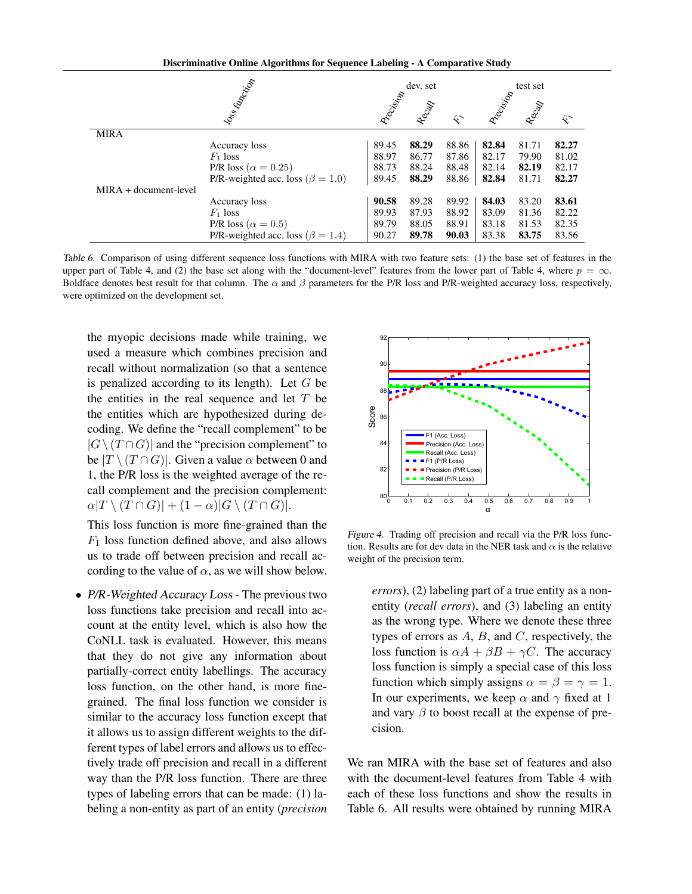Discriminative Online Algorithms for Sequence Labeling - A Comparative Study

|                         | Ioss Kincolin                            |           |        |                           | test set  |       |                    |
|-------------------------|------------------------------------------|-----------|--------|---------------------------|-----------|-------|--------------------|
|                         |                                          | Precision | Recall |                           | Precision | Recay |                    |
|                         |                                          |           |        | $\hat{\mathbf{x}}^{\sim}$ |           |       | $\hat{\mathbf{r}}$ |
| <b>MIRA</b>             |                                          |           |        |                           |           |       |                    |
|                         | Accuracy loss                            | 89.45     | 88.29  | 88.86                     | 82.84     | 81.71 | 82.27              |
|                         | $F_1$ loss                               | 88.97     | 86.77  | 87.86                     | 82.17     | 79.90 | 81.02              |
|                         | P/R loss ( $\alpha = 0.25$ )             | 88.73     | 88.24  | 88.48                     | 82.14     | 82.19 | 82.17              |
|                         | P/R-weighted acc. loss ( $\beta = 1.0$ ) | 89.45     | 88.29  | 88.86                     | 82.84     | 81.71 | 82.27              |
| $MIRA + document-level$ |                                          |           |        |                           |           |       |                    |
|                         | Accuracy loss                            | 90.58     | 89.28  | 89.92                     | 84.03     | 83.20 | 83.61              |
|                         | $F_1$ loss                               | 89.93     | 87.93  | 88.92                     | 83.09     | 81.36 | 82.22              |
|                         | P/R loss ( $\alpha = 0.5$ )              | 89.79     | 88.05  | 88.91                     | 83.18     | 81.53 | 82.35              |
|                         | P/R-weighted acc. loss ( $\beta = 1.4$ ) | 90.27     | 89.78  | 90.03                     | 83.38     | 83.75 | 83.56              |

Table 6. Comparison of using different sequence loss functions with MIRA with two feature sets: (1) the base set of features in the upper part of Table 4, and (2) the base set along with the "document-level" features from the lower part of Table 4, where  $p = \infty$ . Boldface denotes best result for that column. The  $\alpha$  and  $\beta$  parameters for the P/R loss and P/R-weighted accuracy loss, respectively, were optimized on the development set.

the myopic decisions made while training, we used a measure which combines precision and recall without normalization (so that a sentence is penalized according to its length). Let  $G$  be the entities in the real sequence and let  $T$  be the entities which are hypothesized during decoding. We define the "recall complement" to be  $|G \setminus (T \cap G)|$  and the "precision complement" to be  $|T \setminus (T \cap G)|$ . Given a value  $\alpha$  between 0 and 1, the P/R loss is the weighted average of the recall complement and the precision complement:  $\alpha|T \setminus (T \cap G)| + (1 - \alpha)|G \setminus (T \cap G)|.$ 

This loss function is more fine-grained than the  $F_1$  loss function defined above, and also allows us to trade off between precision and recall according to the value of  $\alpha$ , as we will show below.

• P/R-Weighted Accuracy Loss - The previous two loss functions take precision and recall into account at the entity level, which is also how the CoNLL task is evaluated. However, this means that they do not give any information about partially-correct entity labellings. The accuracy loss function, on the other hand, is more finegrained. The final loss function we consider is similar to the accuracy loss function except that it allows us to assign different weights to the different types of label errors and allows us to effectively trade off precision and recall in a different way than the P/R loss function. There are three types of labeling errors that can be made: (1) labeling a non-entity as part of an entity (*precision*



Figure 4. Trading off precision and recall via the P/R loss function. Results are for dev data in the NER task and  $\alpha$  is the relative weight of the precision term.

loss function is  $\alpha A + \beta B + \gamma C$ . The accuracy *errors*), (2) labeling part of a true entity as a nonentity (*recall errors*), and (3) labeling an entity as the wrong type. Where we denote these three types of errors as  $A$ ,  $B$ , and  $C$ , respectively, the loss function is simply a special case of this loss function which simply assigns  $\alpha = \beta = \gamma = 1$ . In our experiments, we keep  $\alpha$  and  $\gamma$  fixed at 1 and vary  $\beta$  to boost recall at the expense of precision.

We ran MIRA with the base set of features and also with the document-level features from Table 4 with each of these loss functions and show the results in Table 6. All results were obtained by running MIRA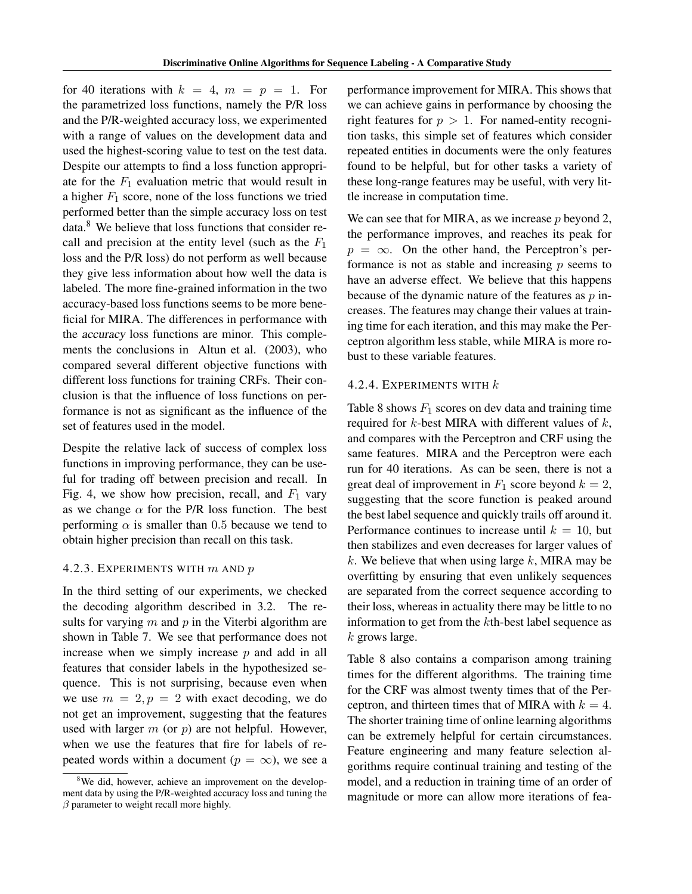for 40 iterations with  $k = 4$ ,  $m = p = 1$ . For the parametrized loss functions, namely the P/R loss and the P/R-weighted accuracy loss, we experimented with a range of values on the development data and used the highest-scoring value to test on the test data. Despite our attempts to find a loss function appropriate for the  $F_1$  evaluation metric that would result in a higher  $F_1$  score, none of the loss functions we tried performed better than the simple accuracy loss on test data.<sup>8</sup> We believe that loss functions that consider recall and precision at the entity level (such as the  $F_1$ ) loss and the P/R loss) do not perform as well because they give less information about how well the data is labeled. The more fine-grained information in the two accuracy-based loss functions seems to be more beneficial for MIRA. The differences in performance with the accuracy loss functions are minor. This complements the conclusions in Altun et al. (2003), who compared several different objective functions with different loss functions for training CRFs. Their conclusion is that the influence of loss functions on performance is not as significant as the influence of the set of features used in the model.

Despite the relative lack of success of complex loss functions in improving performance, they can be useful for trading off between precision and recall. In Fig. 4, we show how precision, recall, and  $F_1$  vary as we change  $\alpha$  for the P/R loss function. The best performing  $\alpha$  is smaller than 0.5 because we tend to obtain higher precision than recall on this task.

#### 4.2.3. EXPERIMENTS WITH  $m$  AND  $p$

In the third setting of our experiments, we checked the decoding algorithm described in 3.2. The results for varying  $m$  and  $p$  in the Viterbi algorithm are shown in Table 7. We see that performance does not increase when we simply increase  $p$  and add in all features that consider labels in the hypothesized sequence. This is not surprising, because even when we use  $m = 2, p = 2$  with exact decoding, we do not get an improvement, suggesting that the features used with larger  $m$  (or  $p$ ) are not helpful. However, when we use the features that fire for labels of repeated words within a document ( $p = \infty$ ), we see a

performance improvement for MIRA. This shows that we can achieve gains in performance by choosing the right features for  $p > 1$ . For named-entity recognition tasks, this simple set of features which consider repeated entities in documents were the only features found to be helpful, but for other tasks a variety of these long-range features may be useful, with very little increase in computation time.

We can see that for MIRA, as we increase  $p$  beyond 2, the performance improves, and reaches its peak for  $p = \infty$ . On the other hand, the Perceptron's performance is not as stable and increasing  $p$  seems to have an adverse effect. We believe that this happens because of the dynamic nature of the features as  $p$  increases. The features may change their values at training time for each iteration, and this may make the Perceptron algorithm less stable, while MIRA is more robust to these variable features.

## 4.2.4. EXPERIMENTS WITH k

Table 8 shows  $F_1$  scores on dev data and training time required for  $k$ -best MIRA with different values of  $k$ , and compares with the Perceptron and CRF using the same features. MIRA and the Perceptron were each run for 40 iterations. As can be seen, there is not a great deal of improvement in  $F_1$  score beyond  $k = 2$ , suggesting that the score function is peaked around the best label sequence and quickly trails off around it. Performance continues to increase until  $k = 10$ , but then stabilizes and even decreases for larger values of k. We believe that when using large  $k$ , MIRA may be overfitting by ensuring that even unlikely sequences are separated from the correct sequence according to their loss, whereas in actuality there may be little to no information to get from the kth-best label sequence as k grows large.

Table 8 also contains a comparison among training times for the different algorithms. The training time for the CRF was almost twenty times that of the Perceptron, and thirteen times that of MIRA with  $k = 4$ . The shorter training time of online learning algorithms can be extremely helpful for certain circumstances. Feature engineering and many feature selection algorithms require continual training and testing of the model, and a reduction in training time of an order of magnitude or more can allow more iterations of fea-

<sup>&</sup>lt;sup>8</sup>We did, however, achieve an improvement on the development data by using the P/R-weighted accuracy loss and tuning the  $\beta$  parameter to weight recall more highly.